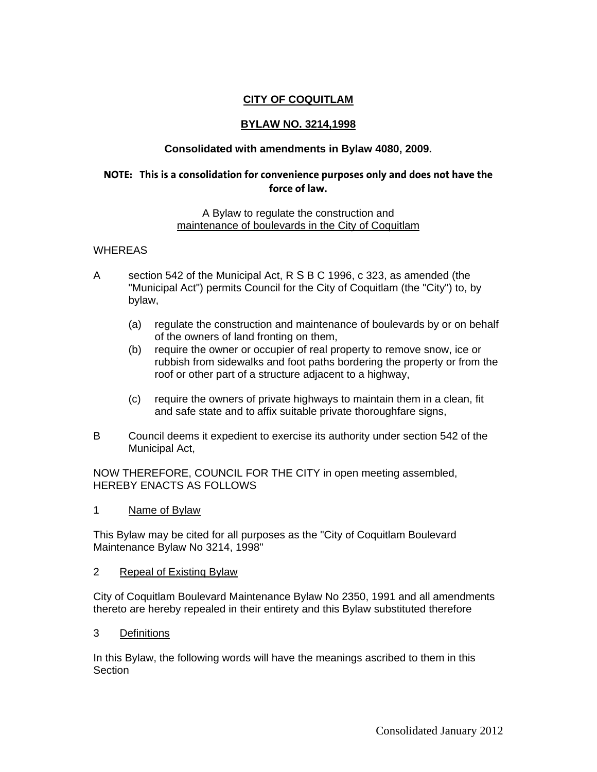# **CITY OF COQUITLAM**

## **BYLAW NO. 3214,1998**

## **Consolidated with amendments in Bylaw 4080, 2009.**

## **NOTE: This is a consolidation for convenience purposes only and does not have the force of law.**

#### A Bylaw to regulate the construction and maintenance of boulevards in the City of Coquitlam

### WHEREAS

- A section 542 of the Municipal Act, R S B C 1996, c 323, as amended (the "Municipal Act") permits Council for the City of Coquitlam (the "City") to, by bylaw,
	- (a) regulate the construction and maintenance of boulevards by or on behalf of the owners of land fronting on them,
	- (b) require the owner or occupier of real property to remove snow, ice or rubbish from sidewalks and foot paths bordering the property or from the roof or other part of a structure adjacent to a highway,
	- (c) require the owners of private highways to maintain them in a clean, fit and safe state and to affix suitable private thoroughfare signs,
- B Council deems it expedient to exercise its authority under section 542 of the Municipal Act,

NOW THEREFORE, COUNCIL FOR THE CITY in open meeting assembled, HEREBY ENACTS AS FOLLOWS

1 Name of Bylaw

This Bylaw may be cited for all purposes as the "City of Coquitlam Boulevard Maintenance Bylaw No 3214, 1998"

2 Repeal of Existinq Bylaw

City of Coquitlam Boulevard Maintenance Bylaw No 2350, 1991 and all amendments thereto are hereby repealed in their entirety and this Bylaw substituted therefore

3 Definitions

In this Bylaw, the following words will have the meanings ascribed to them in this **Section**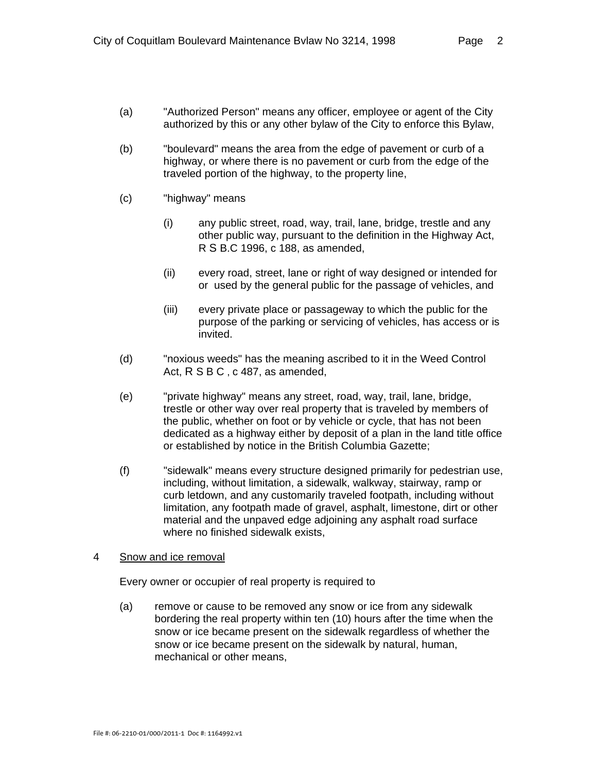- (a) "Authorized Person" means any officer, employee or agent of the City authorized by this or any other bylaw of the City to enforce this Bylaw,
- (b) "boulevard" means the area from the edge of pavement or curb of a highway, or where there is no pavement or curb from the edge of the traveled portion of the highway, to the property line,
- (c) "highway" means
	- (i) any public street, road, way, trail, lane, bridge, trestle and any other public way, pursuant to the definition in the Highway Act, R S B.C 1996, c 188, as amended,
	- (ii) every road, street, lane or right of way designed or intended for or used by the general public for the passage of vehicles, and
	- (iii) every private place or passageway to which the public for the purpose of the parking or servicing of vehicles, has access or is invited.
- (d) "noxious weeds" has the meaning ascribed to it in the Weed Control Act, R S B C, c 487, as amended,
- (e) "private highway" means any street, road, way, trail, lane, bridge, trestle or other way over real property that is traveled by members of the public, whether on foot or by vehicle or cycle, that has not been dedicated as a highway either by deposit of a plan in the land title office or established by notice in the British Columbia Gazette;
- (f) "sidewalk" means every structure designed primarily for pedestrian use, including, without limitation, a sidewalk, walkway, stairway, ramp or curb letdown, and any customarily traveled footpath, including without limitation, any footpath made of gravel, asphalt, limestone, dirt or other material and the unpaved edge adjoining any asphalt road surface where no finished sidewalk exists,

### 4Snow and ice removal

Every owner or occupier of real property is required to

(a) remove or cause to be removed any snow or ice from any sidewalk bordering the real property within ten (10) hours after the time when the snow or ice became present on the sidewalk regardless of whether the snow or ice became present on the sidewalk by natural, human, mechanical or other means,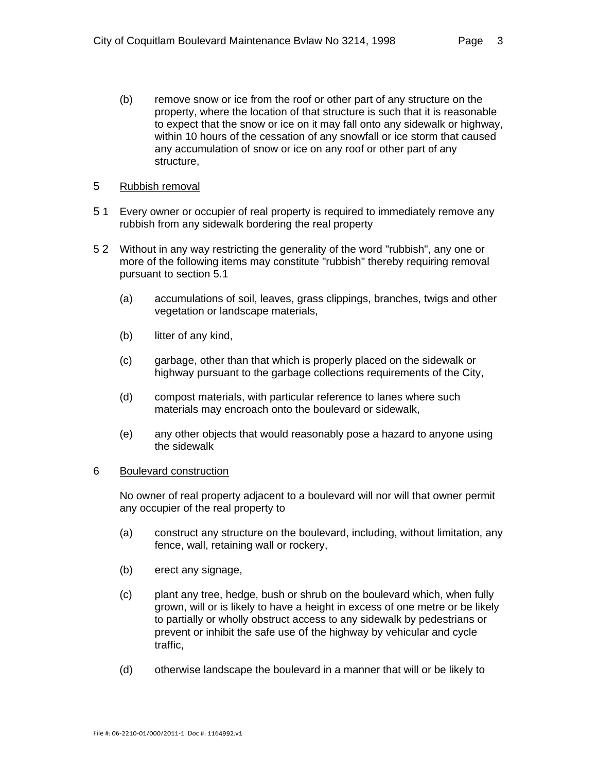(b) remove snow or ice from the roof or other part of any structure on the property, where the location of that structure is such that it is reasonable to expect that the snow or ice on it may fall onto any sidewalk or highway, within 10 hours of the cessation of any snowfall or ice storm that caused any accumulation of snow or ice on any roof or other part of any structure,

### 5 Rubbish removal

- 5 1 Every owner or occupier of real property is required to immediately remove any rubbish from any sidewalk bordering the real property
- 5 2 Without in any way restricting the generality of the word "rubbish", any one or more of the following items may constitute "rubbish" thereby requiring removal pursuant to section 5.1
	- (a) accumulations of soil, leaves, grass clippings, branches, twigs and other vegetation or landscape materials,
	- (b) litter of any kind,
	- (c) garbage, other than that which is properly placed on the sidewalk or highway pursuant to the garbage collections requirements of the City,
	- (d) compost materials, with particular reference to lanes where such materials may encroach onto the boulevard or sidewalk,
	- (e) any other objects that would reasonably pose a hazard to anyone using the sidewalk

### 6 Boulevard construction

No owner of real property adjacent to a boulevard will nor will that owner permit any occupier of the real property to

- (a) construct any structure on the boulevard, including, without limitation, any fence, wall, retaining wall or rockery,
- (b) erect any signage,
- (c) plant any tree, hedge, bush or shrub on the boulevard which, when fully grown, will or is likely to have a height in excess of one metre or be likely to partially or wholly obstruct access to any sidewalk by pedestrians or prevent or inhibit the safe use of the highway by vehicular and cycle traffic,
- (d) otherwise landscape the boulevard in a manner that will or be likely to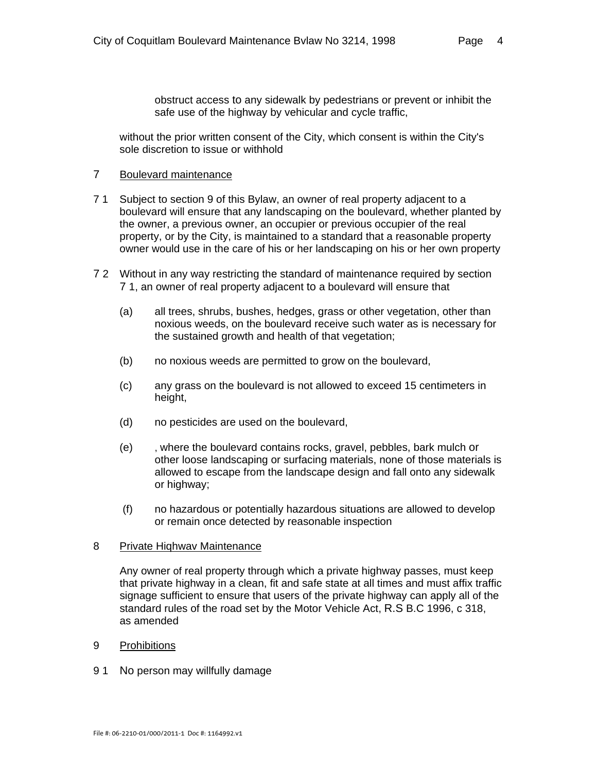obstruct access to any sidewalk by pedestrians or prevent or inhibit the safe use of the highway by vehicular and cycle traffic,

without the prior written consent of the City, which consent is within the City's sole discretion to issue or withhold

### 7 Boulevard maintenance

- 7 1 Subject to section 9 of this Bylaw, an owner of real property adjacent to a boulevard will ensure that any landscaping on the boulevard, whether planted by the owner, a previous owner, an occupier or previous occupier of the real property, or by the City, is maintained to a standard that a reasonable property owner would use in the care of his or her landscaping on his or her own property
- 7 2 Without in any way restricting the standard of maintenance required by section 7 1, an owner of real property adjacent to a boulevard will ensure that
	- (a) all trees, shrubs, bushes, hedges, grass or other vegetation, other than noxious weeds, on the boulevard receive such water as is necessary for the sustained growth and health of that vegetation;
	- (b) no noxious weeds are permitted to grow on the boulevard,
	- (c) any grass on the boulevard is not allowed to exceed 15 centimeters in height,
	- (d) no pesticides are used on the boulevard,
	- (e) , where the boulevard contains rocks, gravel, pebbles, bark mulch or other loose landscaping or surfacing materials, none of those materials is allowed to escape from the landscape design and fall onto any sidewalk or highway;
	- (f) no hazardous or potentially hazardous situations are allowed to develop or remain once detected by reasonable inspection

### 8 Private Hiqhwav Maintenance

Any owner of real property through which a private highway passes, must keep that private highway in a clean, fit and safe state at all times and must affix traffic signage sufficient to ensure that users of the private highway can apply all of the standard rules of the road set by the Motor Vehicle Act, R.S B.C 1996, c 318, as amended

### 9 Prohibitions

9 1 No person may willfully damage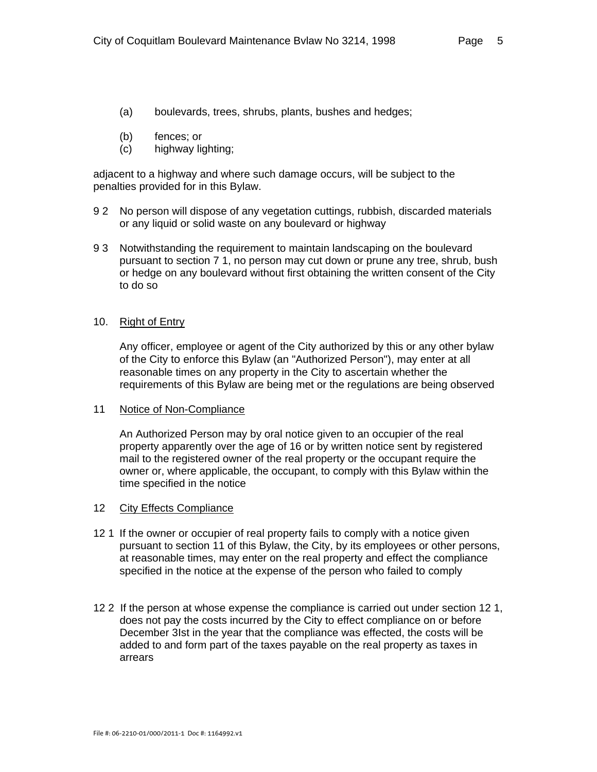- (a) boulevards, trees, shrubs, plants, bushes and hedges;
- (b) fences; or
- (c) highway lighting;

adjacent to a highway and where such damage occurs, will be subject to the penalties provided for in this Bylaw.

- 9 2 No person will dispose of any vegetation cuttings, rubbish, discarded materials or any liquid or solid waste on any boulevard or highway
- 9 3 Notwithstanding the requirement to maintain landscaping on the boulevard pursuant to section 7 1, no person may cut down or prune any tree, shrub, bush or hedge on any boulevard without first obtaining the written consent of the City to do so

### 10. Right of Entry

Any officer, employee or agent of the City authorized by this or any other bylaw of the City to enforce this Bylaw (an "Authorized Person"), may enter at all reasonable times on any property in the City to ascertain whether the requirements of this Bylaw are being met or the regulations are being observed

#### 11 Notice of Non-Compliance

An Authorized Person may by oral notice given to an occupier of the real property apparently over the age of 16 or by written notice sent by registered mail to the registered owner of the real property or the occupant require the owner or, where applicable, the occupant, to comply with this Bylaw within the time specified in the notice

#### 12 City Effects Compliance

- 12 1 If the owner or occupier of real property fails to comply with a notice given pursuant to section 11 of this Bylaw, the City, by its employees or other persons, at reasonable times, may enter on the real property and effect the compliance specified in the notice at the expense of the person who failed to comply
- 12 2 If the person at whose expense the compliance is carried out under section 12 1, does not pay the costs incurred by the City to effect compliance on or before December 3Ist in the year that the compliance was effected, the costs will be added to and form part of the taxes payable on the real property as taxes in arrears